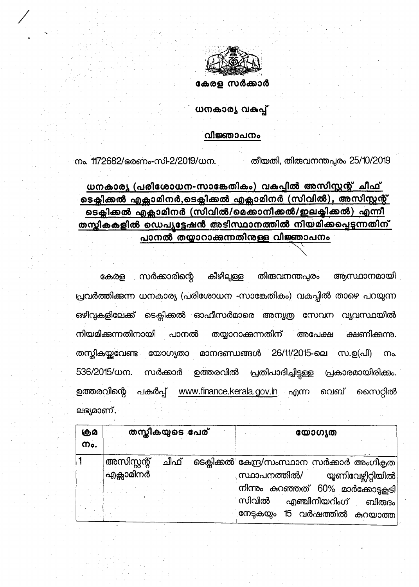

## ധനകാര്യ വകപ്പ്

#### വിജ്ഞാപനം

തീയതി, തിരുവനന്തപ്പരം 25/10/2019

നം. 1172682/ഭരണം-സി-2/2019/ധന.

## ധനകാര്യ (പരിശോധന-സാങ്കേതികം) വകപ്പിൽ അസിസ്റ്റന്റ് ചീഫ് <u>ടെക്ലിക്കൽ എക്സാമിനർ,ടെക്ലിക്കൽ എക്സാമിനർ (സിവിൽ), അസിസ്റ്റന്റ് </u> ടെക്ലിക്കൽ എക്സാമിനർ (സിവിൽ/മെക്കാനിക്കൽ/ഇലക്ടിക്കൽ) എന്നീ <u>തസ്തികകളിൽ ഡെപ്യട്ടേഷൻ അടിസ്ഥാനത്തിൽ നിയമിക്കപ്പെടുന്നതിന്</u> പാനൽ തയ്യാറാക്കുന്നതിനുള്ള വിജ്ഞാപനം

കീഴില്പള്ള തിത്ദവനന്തപ്പരം കേരള സർക്കാരിന്റെ ആസ്ഥാനമായി പ്രവർത്തിക്കുന്ന ധനകാര്യ (പരിശോധന -സാങ്കേതികം) വകപ്പിൽ താഴെ പറയുന്ന ഒഴിവുകളിലേക്ക് ടെക്സിക്കൽ ഓഫീസർമാരെ അന്യത്ര സേവന വ്യവസ്ഥയിൽ നിയമിക്കുന്നതിനായി ക്ഷണിക്കന്നു. പാനൽ തയ്യാറാക്കന്നതിന് അപേക്ഷ തസ്തികയ്യവേണ്ട യോഗ്യതാ മാനദണ്ഡങ്ങൾ 26/11/2015-ലെ സ.ഉ(പി) നം. 536/2015/ധന. സർക്കാർ ഉത്തരവിൽ പ്രതിപാദിച്ചിട്ടുള്ള പ്രകാരമായിരിക്കം. ഉത്തരവിന്റെ പകർപ്പ് www.finance.kerala.gov.in എന്ന വെബ് സൈറ്റിൽ ലഭ്യമാണ്.

| கும<br>m. | തസ്കികയുടെ പേര്                                    | യോഗ്യത                                                                                                  |
|-----------|----------------------------------------------------|---------------------------------------------------------------------------------------------------------|
|           | അസിസ്റ്റന്റ്<br>ചീഫ്<br>' എ <mark>ക്</mark> ലാമിനർ | ാടെക്കിക്കൽ കേന്ദ്ര/സംസ്ഥാന സർക്കാർ അംഗീകൃത <br>സ്ഥാപനത്തിൽ/<br>യൂണിവേഴ്ചിറ്റിയിൽ                       |
|           |                                                    | നിന്നും കറഞ്ഞത് 60% മാർക്കോട്ടകടി<br>സിവിൽ<br>എഞ്ചിനീയറിംഗ് ബിരുദം <br>15 വർഷത്തിൽ കുറയാത്ത<br>നേടുകയും |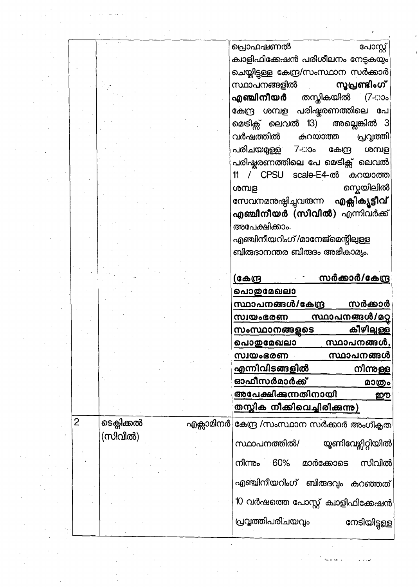|  |   |            | പ്രൊഫഷണൽ<br>പോസ്റ്റ്                         |
|--|---|------------|----------------------------------------------|
|  |   |            | ക്വാളിഫിക്കേഷൻ പരിശീലനം നേട്ടകയും            |
|  |   |            | ചെയ്തിട്ടുള്ള കേന്ദ്ര/സംസ്ഥാന സർക്കാർ        |
|  |   |            | സ്ഥാപനങ്ങളിൽ<br>സൂപ്രണ്ടിംഗ്                 |
|  |   |            | തസ്കികയിൽ (7∹ാം<br>എഞ്ചിനീയർ                 |
|  |   |            | കേന്ദ്ര ശമ്പള പരിഷ്ടരണത്തിലെ പേ              |
|  |   |            |                                              |
|  |   |            | മെടിക്സ് ലെവൽ 13)<br>അല്ലെങ്കിൽ 3            |
|  |   |            | വർഷത്തിൽ<br>കുറയാത്ത<br>പ്രവൃത്തി            |
|  |   |            | പരിചയമുള്ള<br>7⊰≫ი<br>കേന്ദ്ര<br>ശമ്പള       |
|  |   |            | പരിഷ്ടരണത്തിലെ പേ മെടിക്സ് ലെവൽ              |
|  |   |            | / CPSU scale-E4-ൽ കുറയാത്ത<br>11             |
|  |   |            | സ്കെയിലിൽ<br>ശമ്പള                           |
|  |   |            | സേവനമനുഷ്ഠിച്ചുവരുന്ന <b>എക്സിക്യൂട്ടീവ്</b> |
|  |   |            | <b>എഞ്ചിനീയർ (സിവിൽ)</b> എന്നിവർക്ക്         |
|  |   |            | അപേക്ഷിക്കാം.                                |
|  |   |            | എഞ്ചിനീയറിംഗ് /മാനേജ്മെന്റിലുള്ള             |
|  |   |            | ബിരുദാനന്തര ബിരുദം അഭികാമ്യം.                |
|  |   |            |                                              |
|  |   |            | സർക്കാർ/കേന്ദ്ര<br><u>(കേന്ദ്ര</u>           |
|  |   |            | <u>പൊതുമേഖലാ</u>                             |
|  |   |            | സ്ഥാപനങ്ങൾ/കേന്ദ്ര<br>സർക്കാർ                |
|  |   |            | <u>സ്ഥാപനങ്ങൾ/മറ്റ</u><br>സ്ഥയംഭരണ           |
|  |   |            | കീഴിലുള്ള<br>സംസ്ഥാനങ്ങളുടെ                  |
|  |   |            | <u>സ്ഥാപനങ്ങൾ,</u><br>പൊതുമേഖലാ              |
|  |   |            | സ്ഥാപനങ്ങൾ<br>സ്വയംഭരണ                       |
|  |   |            | <u>എന്നിവിടങ്ങളിൽ</u>                        |
|  |   |            | നിന്നുള്ള<br>ഓഫീസർമാർക്ക്                    |
|  |   |            | <u>മാത്രം</u>                                |
|  |   |            | അപേക്ഷിക്കുന്നതിനായി<br>ഈ                    |
|  |   |            | തസ്സിക നീക്കിവെച്ചിരിക്കുന്നു)               |
|  | 2 | ടെക്ലിക്കൽ | എക്സാമിനർ കേന്ദ്ര /സംസ്ഥാന സർക്കാർ അംഗീകൃത   |
|  |   | (സിവിൽ)    |                                              |
|  |   |            | സ്ഥാപനത്തിൽ/<br>യൂണിവേഴ്ലിറ്റിയിൽ            |
|  |   |            | സിവിൽ<br>60%<br>മാർക്കോടെ<br>നിന്നും         |
|  |   |            |                                              |
|  |   |            | എഞ്ചിനീയറിംഗ് ബിരുദവ്യം കറഞ്ഞത്              |
|  |   |            | 10 വർഷത്തെ പോസ്റ്റ് ക്വാളിഫിക്കേഷൻ           |
|  |   |            |                                              |
|  |   |            | പ്രവൃത്തിപരിചയവും<br>നേടിയിട്ടുള്ള           |
|  |   |            |                                              |
|  |   |            |                                              |
|  |   |            |                                              |
|  |   |            |                                              |
|  |   |            |                                              |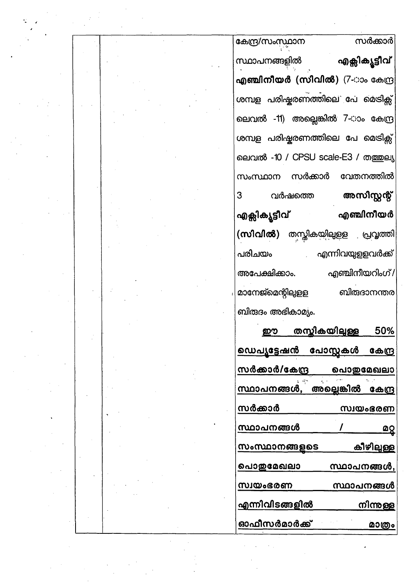| കേന്ദ്ര/സംസ്ഥാന   |         | സർക്കാർ                                      |
|-------------------|---------|----------------------------------------------|
| സ്ഥാപനങ്ങളിൽ      |         | എക്സിക്യൂട്ടീവ്                              |
|                   |         | <mark>എഞ്ചിനീയർ (സിവിൽ)</mark> (7-ാം കേന്ദ്ര |
|                   |         | ശമ്പള പരിഷ്കരണത്തിലെ പേ മെടിക്സ്             |
|                   |         | ലെവൽ -11) അല്ലെങ്കിൽ 7-ാം കേന്ദ്ര            |
|                   |         | ശമ്പള പരിഷ്കരണത്തിലെ പേ മെടിക്സ്             |
|                   |         | ലെവൽ -10 / CPSU scale-E3 / തത്തുല്യ          |
|                   |         | സംസ്ഥാന സർക്കാർ വേതനത്തിൽ                    |
| 3                 | വർഷത്തെ | അസിസ്റ്റന്റ്                                 |
| എക്സിക്യൂട്ടീവ്   |         | എഞ്ചിനീയർ                                    |
|                   |         | ( <b>സിവിൽ)</b> തസ്തികയിലുളള പ്രവൃത്തി       |
| പരിചയം            |         | എന്നിവയുളളവർക്ക്                             |
| അപേക്ഷിക്കാം.     |         | എഞ്ചിനീയറിംഗ്/                               |
| മാനേജ്മെന്റിലുളള  |         | ബിരുദാനന്തര                                  |
| ബിരുദം അഭികാമ്യം. |         |                                              |
|                   |         |                                              |

| <u>ഡെപ്യട്ടേഷൻ പോസ്റ്റകൾ കേന്ദ്ര</u> |             |           |
|--------------------------------------|-------------|-----------|
| സർക്കാർ/കേന്ദ്ര                      | വൊതുമേഖലാ   |           |
| സ്ഥാപനങ്ങൾ, അല്ലെങ്കിൽ കേന്ദ്ര       |             |           |
| സർക്കാർ                              |             | സ്വയംഭരണ  |
| സ്ഥാപനങ്ങൾ                           |             |           |
| സംസ്ഥാനങ്ങളടെ                        |             | കീഴിലുള്ള |
| പൊതുമേഖലാ                            | സ്ഥാപനങ്ങൾ, |           |
| സ്വയംഭരണ                             | സ്ഥാപനങ്ങൾ  |           |
| എന്നിവിടങ്ങളിൽ                       |             | നിന്നള്ള  |
| ഓഫീസർമാർക്ക്                         |             | മാത്രം    |
|                                      |             |           |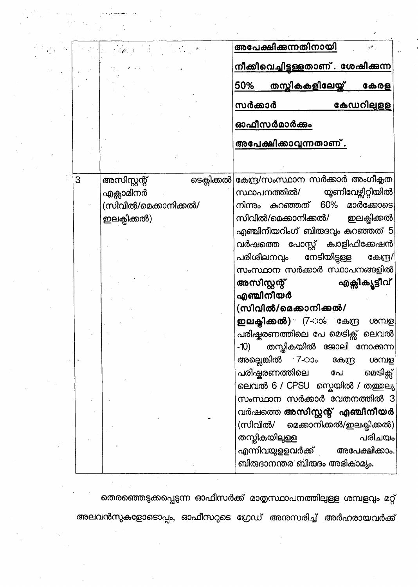|   | $\mathcal{F}^{\text{max}}_{\text{max}}$ and $\mathcal{F}^{\text{max}}_{\text{max}}$<br>$\sim 10^{21}$ K | അപേക്ഷിക്കുന്നതിനായി                                                                |
|---|---------------------------------------------------------------------------------------------------------|-------------------------------------------------------------------------------------|
|   |                                                                                                         | <u>നീക്കിവെച്ചിട്ടള്ളതാണ് . ശേഷിക്കുന്ന</u>                                         |
|   |                                                                                                         | <u>തസ്കികകളിലേയ്ക്</u><br>50%<br>കേരള                                               |
|   |                                                                                                         | കേഡറിലുളള<br>സർക്കാർ                                                                |
|   |                                                                                                         | ഓഫീസർമാർക്കും                                                                       |
|   |                                                                                                         | അപേക്ഷിക്കാവുന്നതാണ്.                                                               |
|   |                                                                                                         |                                                                                     |
|   |                                                                                                         |                                                                                     |
| 3 | ടെക്ലിക്കൽ<br>അസിസ്റ്റന്റ്                                                                              | കേന്ദ്ര/സംസ്ഥാന സർക്കാർ അംഗീകൃത                                                     |
|   | എക്സാമിനർ<br>(സിവിൽ/മെക്കാനിക്കൽ/                                                                       | യൂണിവേഴ്ലിറ്റിയിൽ <sup>1</sup><br>സ്ഥാപനത്തിൽ/<br>നിന്നും കുറഞ്ഞത് 60%<br>മാർക്കോടെ |
|   | ഇലക്ലിക്കൽ)                                                                                             | സിവിൽ/മെക്കാനിക്കൽ/<br>ഇലക്ടിക്കൽ                                                   |
|   |                                                                                                         | എഞ്ചിനീയറിംഗ് ബിരുദവും കുറഞ്ഞത് 5                                                   |
|   |                                                                                                         | വർഷത്തെ പോസ്റ്റ് ക്വാളിഫിക്കേഷൻ                                                     |
|   |                                                                                                         | നേടിയിട്ടുള്ള<br>പരിശീലനവും<br>കേന്ദ്ര/                                             |
|   |                                                                                                         | സംസ്ഥാന സർക്കാർ സ്ഥാപനങ്ങളിൽ                                                        |
|   |                                                                                                         | എക്സിക്യൂട്ടീവ്<br>അസിസ്റ്റന്റ്                                                     |
|   |                                                                                                         | എഞ്ചിനീയർ<br>(സിവിൽ/മെക്കാനിക്കൽ/                                                   |
|   |                                                                                                         | <b>ഇലക്ലിക്കൽ)</b> (7-ാം കേന്ദ്ര<br>ശമ്പള                                           |
|   |                                                                                                         | പരിഷ്ടരണത്തിലെ പേ മെടിക്സ് ലെവൽ                                                     |
|   |                                                                                                         | -10) തന്റ്ലികയിൽ ജോലി നോക്കുന്ന                                                     |
|   |                                                                                                         | അല്ലെങ്കിൽ 7-ാം<br>കേന്ദ്ര<br>ശമ്പള                                                 |
|   |                                                                                                         | പരിഷ്ടരണത്തിലെ<br>മെടിക്സ്<br>പേ                                                    |
|   |                                                                                                         | ലെവൽ 6 / CPSU സ്നെയിൽ / തത്തുല്യ                                                    |
|   |                                                                                                         | സംസ്ഥാന സർക്കാർ വേതനത്തിൽ 3                                                         |
|   |                                                                                                         | വർഷത്തെ അസിസ്റ്റന്റ് എഞ്ചിനീയർ                                                      |
|   |                                                                                                         | (സിവിൽ/<br>മെക്കാനിക്കൽ/ഇലക്ടിക്കൽ)<br>തസ്തികയിലുള്ള<br>പരിചയം                      |
|   |                                                                                                         | അപേക്ഷിക്കാം.<br>എന്നിവയുളളവർക്ക്                                                   |
|   |                                                                                                         | ബിരുദാനന്തര ബിരുദം അഭികാമ്യം.                                                       |
|   |                                                                                                         |                                                                                     |

തെരഞ്ഞെടുക്കപ്പെടുന്ന ഓഫീസർക്ക് മാതൃസ്ഥാപനത്തിലുള്ള ശമ്പളവും മറ്റ് അലവൻസുകളോടൊപ്പം, ഓഫീസറുടെ ഗ്രേഡ് അനുസരിച്ച് അർഹരായവർക്ക്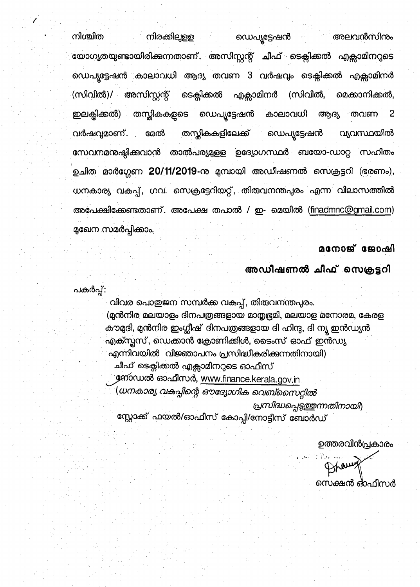നിരക്കിലുളള നിശ്ചിത അലവൻസിനും ഡെപ്യൂട്ടേഷൻ യോഗ<mark>ൃ</mark>തയുണ്ടായിരിക്കുന്നതാണ്. അസിസ്റ്റന്റ് ചീഫ് ടെക്സിക്കൽ എക്സാമിനറുടെ ഡെപ്യൂട്ടേഷൻ കാലാവധി ആദ്യ തവണ 3 വർഷവും ടെക്സിക്കൽ എക്സാമിനർ (സിവിൽ)/ അസിസ്റ്റന്റ് ടെക്സിക്കൽ എക്സാമിനർ (സിവിൽ, മെക്കാനിക്കൽ. ഇലക്ടിക്കൽ) തസ്തികകളുടെ ഡെപ്യൂട്ടേഷൻ കാലാവധി ആദ്യ 2 തവണ തസ്കികകളിലേക്ക് വ്യവസ്ഥയിൽ ഡെപ്യൂട്ടേഷൻ മേൽ വർഷവ്യമാണ്. സേവനമന്തഷ്ഠിക്കവാൻ താൽപര്യമുളള ഉദ്യോഗസ്ഥർ ബയോ-ഡാറ്റ സഹിതം ഉചിത മാർഗ്ഗേണ 20/11/2019-നു മുമ്പായി അഡീഷണൽ സെക്രട്ടറി (ഭരണം), ധനകാര്യ വകുപ്പ്, ഗവ. സെക്രട്ടേറിയറ്റ്, തിരുവനന്തപുരം എന്ന വിലാസത്തിൽ അപേക്ഷിക്കേണ്ടതാണ്. അപേക്ഷ തപാൽ / ഇ- മെയിൽ (finadmnc@gmail.com) മുഖേന സമർപ്പിക്കാം.

## മനോജ് ജോഷി

അഡീഷണൽ ചീഫ് സെക്രട്ടറി

പകർപ്പ്:

വിവര പൊതുജന സമ്പർക്ക വകുപ്പ്, തിരുവനന്തപുരം. (മുൻനിര മലയാളം ദിനപത്രങ്ങളായ മാതൃഭൂമി, മലയാള മനോരമ, കേരള കൗമുദി, മുൻനിര ഇംഗ്ലീഷ് ദിനപത്രങ്ങളായ ദി ഹിന്ദു, ദി ന്യൂ ഇൻഡ്യൻ എക്സ്പസ്, ഡെക്കാൻ ക്രോണിക്കിൾ, ടൈംസ് ഓഫ് ഇൻഡ്യ എന്നിവയിൽ വിജ്ഞാപനം പ്രസിദ്ധീകരിക്കുന്നതിനായി) ചീഫ് ടെക്ലിക്കൽ എക്സാമിനറുടെ ഓഫീസ് നോഡൽ ഓഫീസർ, <u>www.finance.kerala.gov.in</u> (ധനകാര്യ വകപ്പിന്റെ ഔദ്യോഗിക വെബ്സൈറ്റിൽ പ്രസിദ്ധപ്പെടുത്തുന്നതിനായി)

സ്റ്റോക്ക് ഫയൽ/ഓഫീസ് കോപ്പി/നോട്ടീസ് ബോർഡ്

ഉത്തരവിൻപ്രകാരം

Braun സെക്ഷൻ ഒ്ഫീസർ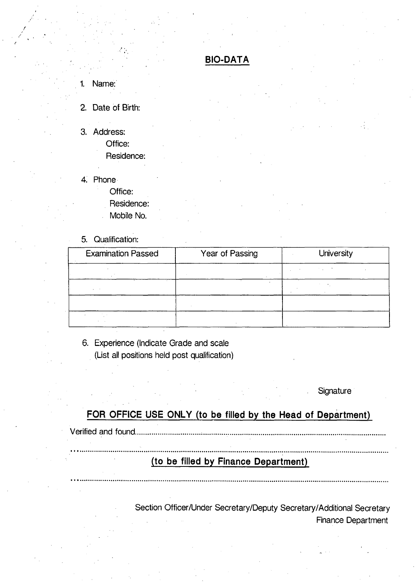## **BIO-DATA**

1. Name:

**. /**

#### 2. Date of Birth:

3. Address:

Office: Residence:

- 4. Phone
	- Office:
		- Residence:
		- Mobile No.
- 5. Qualification:

| <b>Examination Passed</b> | Year of Passing | <b>University</b> |
|---------------------------|-----------------|-------------------|
|                           |                 |                   |
|                           |                 |                   |
|                           |                 |                   |
| $\epsilon$                |                 |                   |

6. Experience (Indicate Grade and scale (List ail positions held post qualification)

**Signature** 

# **FOR OFFICE USE ONLY (to be filled by the Head of Department)**

Verified and found.

## **(to be filled by Finance Department)**

Section Officer/Under Secretary/Deputy Secretary/Additional Secretary Finance Department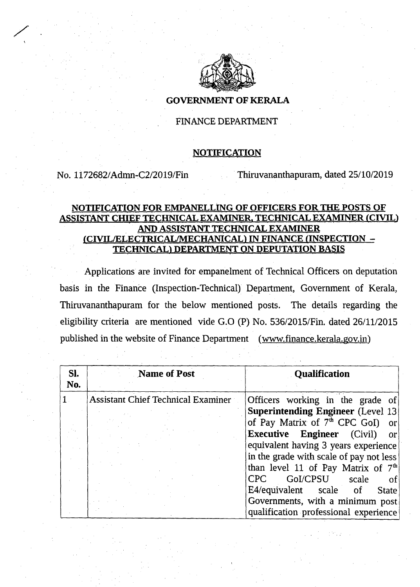

#### **GOVERNMENT OF KERALA**

### FINANCE DEPARTMENT

#### **NOTIFICATION**

**/ .**

No. 1172682/Admn-C2/2019/Fin Thimvananthapuram, dated 25/10/2019

#### **NOTIFICATION FOR EMPANELLING OF OFFICERS FOR THE POSTS OF ASSISTANT CHIEF TECHNICAL EXAMINER. TECHNICAL EXAMINER (OVID AND ASSISTANT TECHNICAL EXAMINER fCIVIL/ELECTRICAL/MECHANICAL) IN FINANCE (INSPECTION - TECHNICAL! DEPARTMENT ON DEPUTATION BASIS**

Applications are invited for empanelment of Technical Officers on deputation basis in the Finance (Inspection-Technical) Department, Government of Kerala, Thiruvananthapuram for the below mentioned posts. The details regarding the eligibility criteria are mentioned vide G.O (P) No. 536/2015/Fin. dated 26/11/2015 published in the website of Finance Department (www.finance.kerala.gov.in)

| SI.<br>No. | <b>Name of Post</b>                       | <b>Qualification</b>                           |
|------------|-------------------------------------------|------------------------------------------------|
|            | <b>Assistant Chief Technical Examiner</b> | Officers working in the grade of               |
|            |                                           | <b>Superintending Engineer (Level 13)</b>      |
|            |                                           | of Pay Matrix of 7 <sup>th</sup> CPC GoI) or   |
|            |                                           | <b>Executive Engineer</b> (Civil)<br>- or      |
|            |                                           | equivalent having 3 years experience           |
|            |                                           | in the grade with scale of pay not less        |
|            |                                           | than level 11 of Pay Matrix of 7 <sup>th</sup> |
|            |                                           | GoI/CPSU scale<br>CPC<br>- of                  |
|            |                                           | E4/equivalent scale of<br><b>State</b>         |
|            |                                           | Governments, with a minimum post               |
|            |                                           | qualification professional experience          |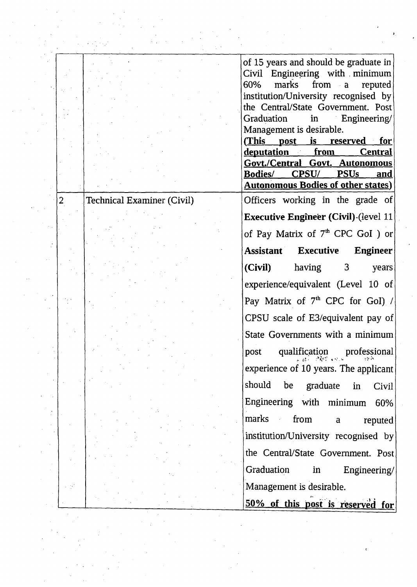|                  | of 15 years and should be graduate in                                                                                                             |
|------------------|---------------------------------------------------------------------------------------------------------------------------------------------------|
|                  | Civil Engineering with minimum                                                                                                                    |
|                  | marks from a<br>60%<br>reputed<br>institution/University recognised by                                                                            |
|                  | the Central/State Government. Post                                                                                                                |
|                  | Graduation in Engineering/                                                                                                                        |
|                  | Management is desirable.                                                                                                                          |
|                  | (This post is reserved for                                                                                                                        |
|                  | deputation from Central                                                                                                                           |
|                  | Govt./Central Govt. Autonomous                                                                                                                    |
|                  | Bodies/ CPSU/ PSUs<br>and<br><b>Autonomous Bodies of other states)</b>                                                                            |
|                  |                                                                                                                                                   |
| Examiner (Civil) | Officers working in the grade of                                                                                                                  |
|                  | <b>Executive Engineer (Civil) (level 11)</b>                                                                                                      |
|                  | of Pay Matrix of 7 <sup>th</sup> CPC GoI) or                                                                                                      |
|                  | <b>Assistant Executive</b><br>Engineer                                                                                                            |
|                  | (Civil)<br>having<br>3 <sup>1</sup><br>years                                                                                                      |
|                  | experience/equivalent (Level 10 of                                                                                                                |
|                  | Pay Matrix of $7th$ CPC for GoI) /                                                                                                                |
|                  | CPSU scale of E3/equivalent pay of                                                                                                                |
|                  | State Governments with a minimum                                                                                                                  |
|                  | professional<br>qualification<br>post                                                                                                             |
|                  | $\mathcal{A}$ of $\mathcal{A}$ and $\mathcal{A}$<br>experience of 10 years. The applicant                                                         |
|                  | should be graduate in<br>Civil                                                                                                                    |
|                  | Engineering with minimum<br>60%                                                                                                                   |
|                  | marks and marks and marks and the mathematical energy of the set of the mathematical energy of the mathematica<br>from<br>$\mathbf{a}$<br>reputed |
|                  | institution/University recognised by                                                                                                              |
|                  | the Central/State Government. Post                                                                                                                |
|                  | Graduation<br>Engineering/<br>in                                                                                                                  |
|                  | Management is desirable.                                                                                                                          |
|                  | 50% of this post is reserved for                                                                                                                  |
|                  |                                                                                                                                                   |

2 Technical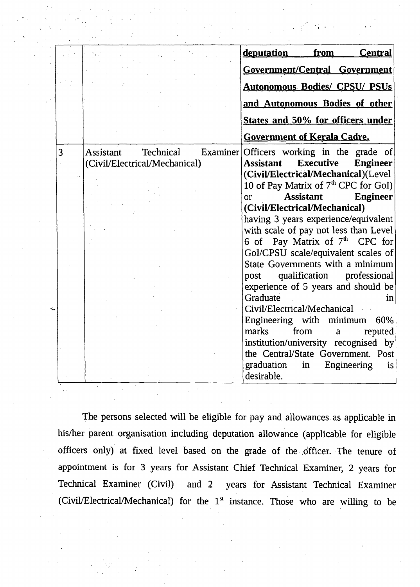|   |                                      | deputation<br>from<br><b>Central</b>                  |
|---|--------------------------------------|-------------------------------------------------------|
|   |                                      | Government/Central Government                         |
|   |                                      |                                                       |
|   |                                      | <b>Autonomous Bodies/ CPSU/ PSUs</b>                  |
|   |                                      | and Autonomous Bodies of other                        |
|   |                                      | States and 50% for officers under                     |
|   |                                      | <b>Government of Kerala Cadre.</b>                    |
| 3 | <b>Assistant</b><br><b>Technical</b> | Examiner Officers working in the grade of             |
|   | (Civil/Electrical/Mechanical)        | <b>Executive</b><br>Assistant<br><b>Engineer</b>      |
|   |                                      | (Civil/Electrical/Mechanical)(Level                   |
|   |                                      | 10 of Pay Matrix of 7 <sup>th</sup> CPC for GoI)      |
|   |                                      | <b>Assistant</b><br><b>Engineer</b><br>O <sub>l</sub> |
|   |                                      | (Civil/Electrical/Mechanical)                         |
|   |                                      | having 3 years experience/equivalent                  |
|   |                                      | with scale of pay not less than Level                 |
|   |                                      | 6 of Pay Matrix of 7 <sup>th</sup> CPC for            |
|   |                                      | GoI/CPSU scale/equivalent scales of                   |
|   |                                      | State Governments with a minimum                      |
|   |                                      | qualification professional<br>post                    |
|   |                                      | experience of 5 years and should be                   |
|   |                                      | Graduate<br>in                                        |
|   |                                      | Civil/Electrical/Mechanical                           |
|   |                                      | Engineering with minimum 60%                          |
|   |                                      | marks<br>from<br>reputed<br>a                         |
|   |                                      | institution/university recognised by                  |
|   |                                      | the Central/State Government. Post                    |
|   |                                      | graduation<br>Engineering<br>in<br>is.                |
|   |                                      | desirable.                                            |

The persons selected will be eligible for pay and allowances as applicable in his/her parent organisation including deputation allowance (applicable for eligible officers only) at fixed level based on the grade of the officer. The tenure of appointment is for 3 years for Assistant Chief Technical Examiner, 2 years for Technical Examiner (Civil) and 2 years for Assistant Technical Examiner (Civil/Electrical/Mechanical) for the  $1<sup>st</sup>$  instance. Those who are willing to be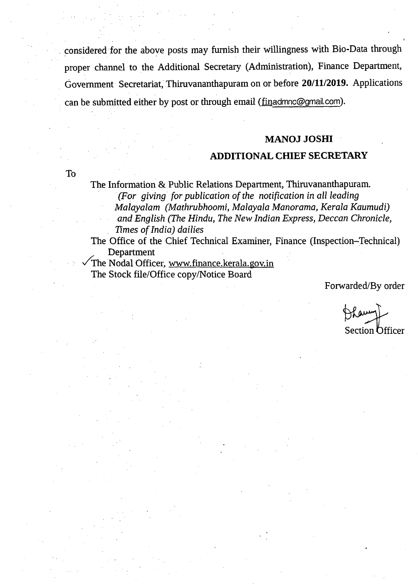considered for the above posts may furnish their willingness with Bio-Data through proper channel to the Additional Secretary (Administration), Finance Department, Government Secretariat, Thiruvananthapuram on or before **20/11/2019.** Applications can be submitted either by post or through email *(*finadmnc@gmail.com).

#### **MANOJ JOSHI**

#### **ADDITIONAL CHIEF SECRETARY**

**To**

The Information & Public Relations Department, Thiruvananthapuram. *(For giving for publication of the notification in all leading Malayalam (Mathrubhoomi, Malayala Manorama, Kerala Kaumudi) and English (The Hindu, The New Indian Express, Deccan Chronicle, Times ofIndia) dailies*

The Office of the Chief Technical Examiner, Finance (Inspection-Technical) Department

The Nodal Officer, [www.finance.kerala.gov.in](http://www.finance.kerala.gov.in) The Stock file/Office copy/Notice Board

Forwarded/By order

Section Officer